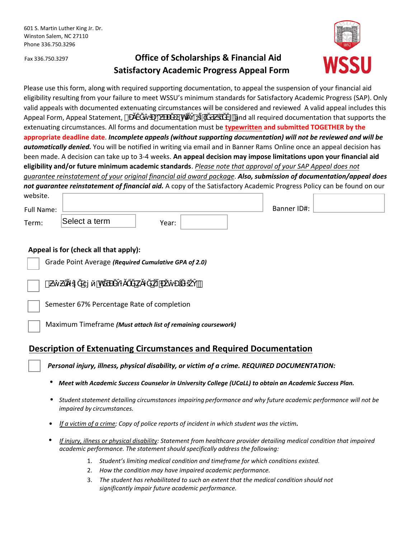# Fax 336.750.3297 **Office of Scholarships & Financial Aid Satisfactory Academic Progress Appeal Form**



Please use this form, along with required supporting documentation, to appeal the suspension of your financial aid eligibility resulting from your failure to meet WSSU's minimum standards for Satisfactory Academic Progress (SAP). Only valid appeals with documented extenuating circumstances will be considered and reviewed A valid appeal includes this Appeal Form, Appeal Statement,  $\tilde{O}$   $\tilde{O}$  and all required documentation that supports the extenuating circumstances. All forms and documentation must be **typewritten and submitted TOGETHER by the appropriate deadline date**. *Incomplete appeals (without supporting documentation) will not be reviewed and will be automatically denied.* You will be notified in writing via email and in Banner Rams Online once an appeal decision has been made. A decision can take up to 3-4 weeks. **An appeal decision may impose limitations upon your financial aid eligibility and/or future minimum academic standards**. *Please note that approval of your SAP Appeal does not guarantee reinstatement of your original financial aid award package*. *Also, submission of documentation/appeal does not guarantee reinstatement of financial aid.* A copy of the Satisfactory Academic Progress Policy can be found on our website.

| website.   |               |       |             |  |
|------------|---------------|-------|-------------|--|
| Full Name: |               |       | Banner ID#: |  |
| Term:      | Select a term | Year: |             |  |

### **Appeal is for (check all that apply):**

|                   |                                            | Grade Point Average (Required Cumulative GPA of 2.0) |  |  |  |     |
|-------------------|--------------------------------------------|------------------------------------------------------|--|--|--|-----|
| $\vert$ $\vert$ # |                                            | 'n                                                   |  |  |  | . . |
|                   | Semester 67% Percentage Rate of completion |                                                      |  |  |  |     |

Maximum Timeframe *(Must attach list of remaining coursework)* 

## **Description of Extenuating Circumstances and Required Documentation**

*Personal injury, illness, physical disability, or victim of a crime. REQUIRED DOCUMENTATION:*

• *Meet with Academic Success Counselor in University College (UCaLL) to obtain an Academic Success Plan.*

- *Student statement detailing circumstances impairing performance and why future academic performance will not be impaired by circumstances.*
- •*If a victim of a crime; Copy of police reports of incident in which student was the victim.*
- *If injury, illness or physical disability: Statement from healthcare provider detailing medical condition that impaired academic performance. The statement should specifically address the following:*
	- 1. *Student's limiting medical condition and timeframe for which conditions existed.*
	- 2. *How the condition may have impaired academic performance.*
	- 3. *The student has rehabilitated to such an extent that the medical condition should not significantly impair future academic performance.*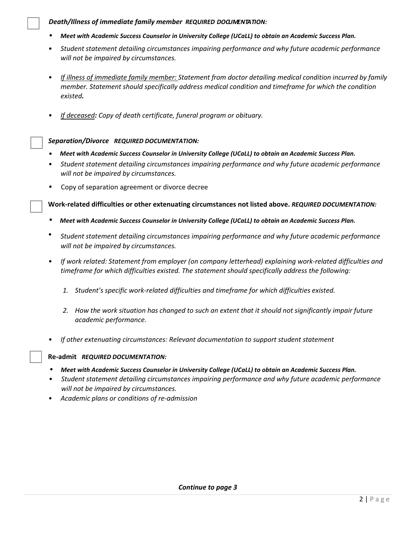#### **Death/Illness of immediate family member REQUIRED DOQUMENTATION:**

- *Meet with Academic Success Counselor in University College (UCaLL) to obtain an Academic Success Plan.*
- *Student statement detailing circumstances impairing performance and why future academic performance will not be impaired by circumstances.*
- *If illness of immediate family member: Statement from doctor detailing medical condition incurred by family member. Statement should specifically address medical condition and timeframe for which the condition existed.*
- *If deceased: Copy of death certificate, funeral program or obituary.*

#### *Separation/Divorce REQUIRED DOCUMENTATION:*

- *Meet with Academic Success Counselor in University College (UCaLL) to obtain an Academic Success Plan.*
- *Student statement detailing circumstances impairing performance and why future academic performance will not be impaired by circumstances.*
- Copy of separation agreement or divorce decree

**Work-related difficulties or other extenuating circumstances not listed above.** *REQUIRED DOCUMENTATION:*

- *Meet with Academic Success Counselor in University College (UCaLL) to obtain an Academic Success Plan.*
- *Student statement detailing circumstances impairing performance and why future academic performance will not be impaired by circumstances.*
- *If work related: Statement from employer (on company letterhead) explaining work-related difficulties and timeframe for which difficulties existed. The statement should specifically address the following:*
	- *1. Student's specific work-related difficulties and timeframe for which difficulties existed.*
	- *2. How the work situation has changed to such an extent that it should not significantly impair future academic performance.*
- *If other extenuating circumstances: Relevant documentation to support student statement*

#### **Re-admit** *REQUIRED DOCUMENTATION:*

- *Meet with Academic Success Counselor in University College (UCaLL) to obtain an Academic Success Plan.*
- *Student statement detailing circumstances impairing performance and why future academic performance will not be impaired by circumstances.*
- *Academic plans or conditions of re-admission*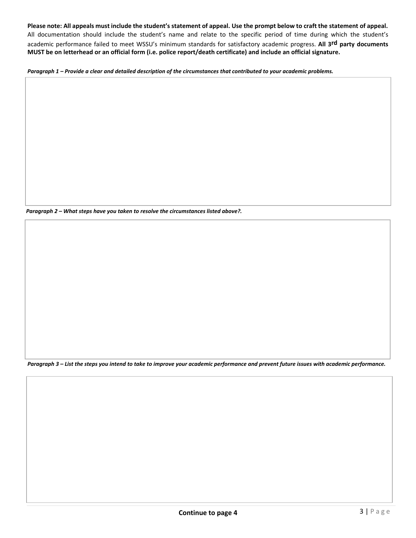**Please note: All appeals must include the student's statement of appeal. Use the prompt below to craft the statement of appeal.**  All documentation should include the student's name and relate to the specific period of time during which the student's academic performance failed to meet WSSU's minimum standards for satisfactory academic progress. **All 3rd party documents MUST be on letterhead or an official form (i.e. police report/death certificate) and include an official signature.** 

*Paragraph 1 – Provide a clear and detailed description of the circumstances that contributed to your academic problems.*

*Paragraph 2 – What steps have you taken to resolve the circumstances listed above?.*

*Paragraph 3 – List the steps you intend to take to improve your academic performance and prevent future issues with academic performance.*